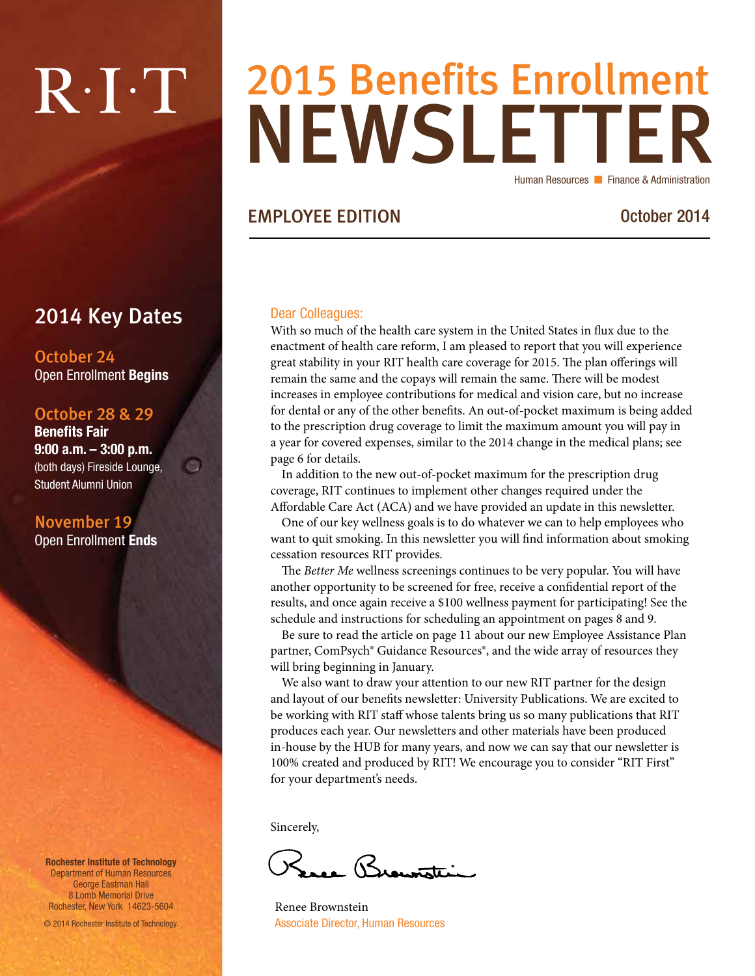# $R \cdot I \cdot T$

# NEWSLETTER 2015 Benefits Enrollment Human Resources **Finance & Administration**

### EMPLOYEE EDITION October 2014

### 2014 Key Dates

e.

October 24 Open Enrollment Begins

#### October 28 & 29

Benefits Fair 9:00 a.m. – 3:00 p.m. (both days) Fireside Lounge, Student Alumni Union

November 19 Open Enrollment Ends

Rochester Institute of Technology Department of Human Resources George Eastman Hall 8 Lomb Memorial Drive Rochester, New York 14623-5604

© 2014 Rochester Institute of Technology.

#### Dear Colleagues:

With so much of the health care system in the United States in flux due to the enactment of health care reform, I am pleased to report that you will experience great stability in your RIT health care coverage for 2015. The plan offerings will remain the same and the copays will remain the same. There will be modest increases in employee contributions for medical and vision care, but no increase for dental or any of the other benefits. An out-of-pocket maximum is being added to the prescription drug coverage to limit the maximum amount you will pay in a year for covered expenses, similar to the 2014 change in the medical plans; see page 6 for details.

In addition to the new out-of-pocket maximum for the prescription drug coverage, RIT continues to implement other changes required under the Affordable Care Act (ACA) and we have provided an update in this newsletter.

One of our key wellness goals is to do whatever we can to help employees who want to quit smoking. In this newsletter you will find information about smoking cessation resources RIT provides.

The *Better Me* wellness screenings continues to be very popular. You will have another opportunity to be screened for free, receive a confidential report of the results, and once again receive a \$100 wellness payment for participating! See the schedule and instructions for scheduling an appointment on pages 8 and 9.

Be sure to read the article on page 11 about our new Employee Assistance Plan partner, ComPsych® Guidance Resources®, and the wide array of resources they will bring beginning in January.

We also want to draw your attention to our new RIT partner for the design and layout of our benefits newsletter: University Publications. We are excited to be working with RIT staff whose talents bring us so many publications that RIT produces each year. Our newsletters and other materials have been produced in-house by the HUB for many years, and now we can say that our newsletter is 100% created and produced by RIT! We encourage you to consider "RIT First" for your department's needs.

Sincerely,

re Brownstei

Renee Brownstein Associate Director, Human Resources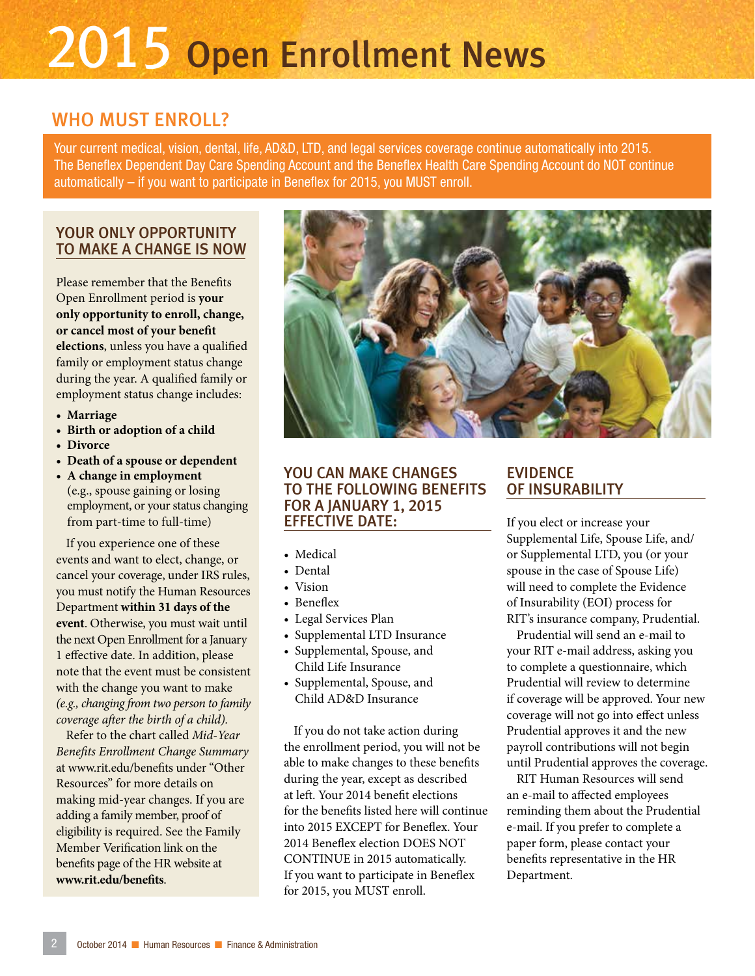# 2015 Open Enrollment News

## WHO MUST ENROLL?

Your current medical, vision, dental, life, AD&D, LTD, and legal services coverage continue automatically into 2015. The Beneflex Dependent Day Care Spending Account and the Beneflex Health Care Spending Account do NOT continue automatically – if you want to participate in Beneflex for 2015, you MUST enroll.

#### YOUR ONLY OPPORTUNITY TO MAKE A CHANGE IS NOW

Please remember that the Benefits Open Enrollment period is **your only opportunity to enroll, change, or cancel most of your benefit elections**, unless you have a qualified family or employment status change during the year. A qualified family or employment status change includes:

- **• Marriage**
- **• Birth or adoption of a child**
- **• Divorce**
- **• Death of a spouse or dependent**
- **• A change in employment** (e.g., spouse gaining or losing employment, or your status changing from part-time to full-time)

If you experience one of these events and want to elect, change, or cancel your coverage, under IRS rules, you must notify the Human Resources Department **within 31 days of the event**. Otherwise, you must wait until the next Open Enrollment for a January 1 effective date. In addition, please note that the event must be consistent with the change you want to make *(e.g., changing from two person to family coverage after the birth of a child).* 

Refer to the chart called *Mid-Year Benefits Enrollment Change Summary* at www.rit.edu/benefits under "Other Resources" for more details on making mid-year changes. If you are adding a family member, proof of eligibility is required. See the Family Member Verification link on the benefits page of the HR website at **www.rit.edu/benefits**.



#### YOU CAN MAKE CHANGES TO THE FOLLOWING BENEFITS FOR A JANUARY 1, 2015 EFFECTIVE DATE:

- Medical
- Dental
- Vision
- Beneflex
- Legal Services Plan
- Supplemental LTD Insurance
- Supplemental, Spouse, and Child Life Insurance
- Supplemental, Spouse, and Child AD&D Insurance

If you do not take action during the enrollment period, you will not be able to make changes to these benefits during the year, except as described at left. Your 2014 benefit elections for the benefits listed here will continue into 2015 EXCEPT for Beneflex. Your 2014 Beneflex election DOES NOT CONTINUE in 2015 automatically. If you want to participate in Beneflex for 2015, you MUST enroll.

### EVIDENCE OF INSURABILITY

If you elect or increase your Supplemental Life, Spouse Life, and/ or Supplemental LTD, you (or your spouse in the case of Spouse Life) will need to complete the Evidence of Insurability (EOI) process for RIT's insurance company, Prudential.

Prudential will send an e-mail to your RIT e-mail address, asking you to complete a questionnaire, which Prudential will review to determine if coverage will be approved. Your new coverage will not go into effect unless Prudential approves it and the new payroll contributions will not begin until Prudential approves the coverage.

RIT Human Resources will send an e-mail to affected employees reminding them about the Prudential e-mail. If you prefer to complete a paper form, please contact your benefits representative in the HR Department.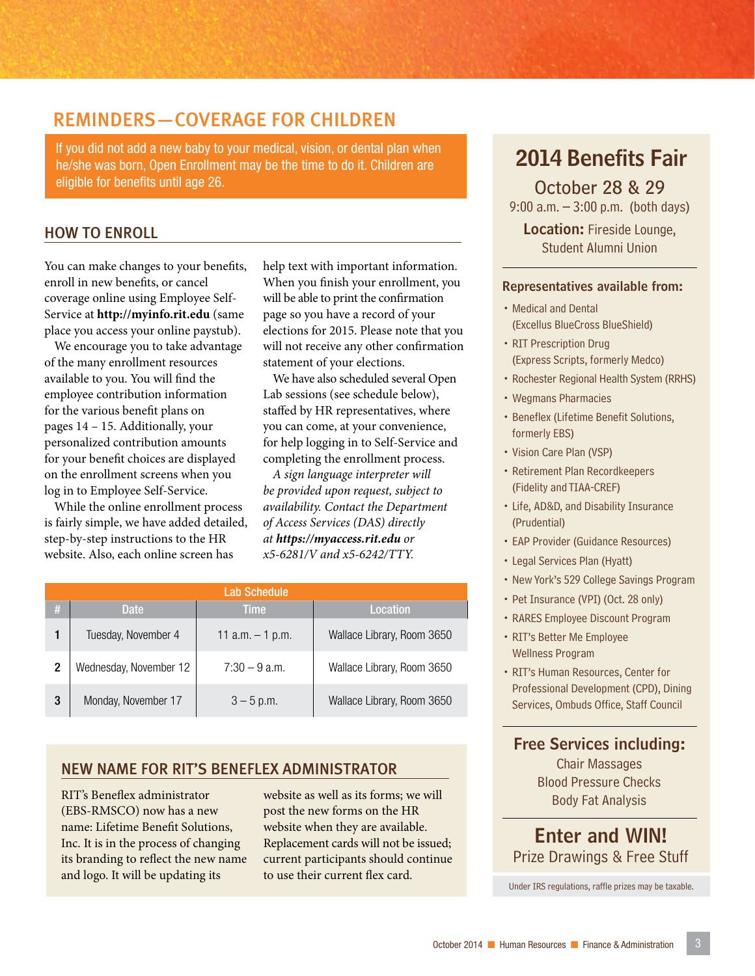## REMINDERS—COVERAGE FOR CHILDREN

If you did not add a new baby to your medical, vision, or dental plan when he/she was born, Open Enrollment may be the time to do it. Children are eligible for benefits until age 26.

#### HOW TO ENROLL

You can make changes to your benefits, enroll in new benefits, or cancel coverage online using Employee Self-Service at **http://myinfo.rit.edu** (same place you access your online paystub).

We encourage you to take advantage of the many enrollment resources available to you. You will find the employee contribution information for the various benefit plans on pages 14 – 15. Additionally, your personalized contribution amounts for your benefit choices are displayed on the enrollment screens when you log in to Employee Self-Service.

While the online enrollment process is fairly simple, we have added detailed, step-by-step instructions to the HR website. Also, each online screen has

help text with important information. When you finish your enrollment, you will be able to print the confirmation page so you have a record of your elections for 2015. Please note that you will not receive any other confirmation statement of your elections.

We have also scheduled several Open Lab sessions (see schedule below), staffed by HR representatives, where you can come, at your convenience, for help logging in to Self-Service and completing the enrollment process.

*A sign language interpreter will be provided upon request, subject to availability. Contact the Department of Access Services (DAS) directly at https://myaccess.rit.edu or x5-6281/V and x5-6242/TTY.*

|   | <b>Lab Schedule</b>    |                    |                            |  |  |  |  |  |
|---|------------------------|--------------------|----------------------------|--|--|--|--|--|
| # | Date.                  | <b>Time</b>        | <b>Location</b>            |  |  |  |  |  |
|   | Tuesday, November 4    | 11 $a.m. - 1 p.m.$ | Wallace Library, Room 3650 |  |  |  |  |  |
| 2 | Wednesday, November 12 | $7:30 - 9$ a.m.    | Wallace Library, Room 3650 |  |  |  |  |  |
| 3 | Monday, November 17    | $3 - 5$ p.m.       | Wallace Library, Room 3650 |  |  |  |  |  |

#### NEW NAME FOR RIT'S BENEFLEX ADMINISTRATOR

RIT's Beneflex administrator (EBS-RMSCO) now has a new name: Lifetime Benefit Solutions, Inc. It is in the process of changing its branding to reflect the new name and logo. It will be updating its

website as well as its forms; we will post the new forms on the HR website when they are available. Replacement cards will not be issued; current participants should continue to use their current flex card.

# 2014 Benefits Fair

October 28 & 29 9:00 a.m. – 3:00 p.m. (both days)

Location: Fireside Lounge, Student Alumni Union

#### Representatives available from:

- Medical and Dental (Excellus BlueCross BlueShield)
- RIT Prescription Drug (Express Scripts, formerly Medco)
- Rochester Regional Health System (RRHS)
- Wegmans Pharmacies
- Beneflex (Lifetime Benefit Solutions, formerly EBS)
- Vision Care Plan (VSP)
- Retirement Plan Recordkeepers (Fidelity and TIAA-CREF)
- Life, AD&D, and Disability Insurance (Prudential)
- EAP Provider (Guidance Resources)
- Legal Services Plan (Hyatt)
- New York's 529 College Savings Program
- Pet Insurance (VPI) (Oct. 28 only)
- RARES Employee Discount Program
- RIT's Better Me Employee Wellness Program
- RIT's Human Resources, Center for Professional Development (CPD), Dining Services, Ombuds Office, Staff Council

#### Free Services including:

Chair Massages Blood Pressure Checks Body Fat Analysis

Enter and WIN! Prize Drawings & Free Stuff

Under IRS regulations, raffle prizes may be taxable.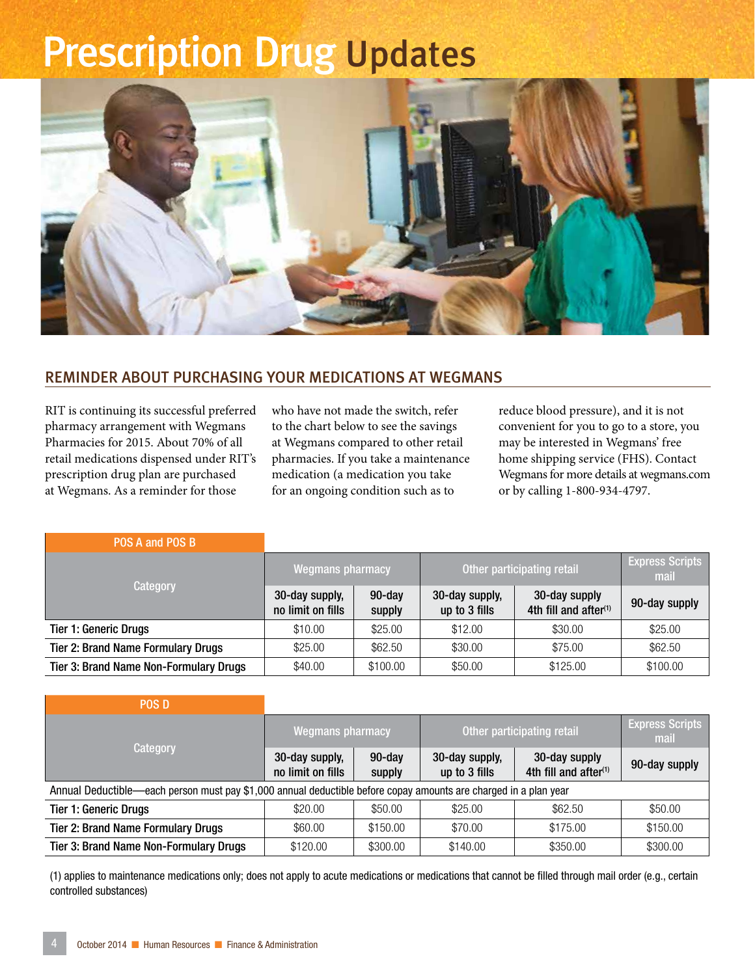# Prescription Drug Updates

![](_page_3_Picture_1.jpeg)

#### REMINDER ABOUT PURCHASING YOUR MEDICATIONS AT WEGMANS

RIT is continuing its successful preferred pharmacy arrangement with Wegmans Pharmacies for 2015. About 70% of all retail medications dispensed under RIT's prescription drug plan are purchased at Wegmans. As a reminder for those

who have not made the switch, refer to the chart below to see the savings at Wegmans compared to other retail pharmacies. If you take a maintenance medication (a medication you take for an ongoing condition such as to

reduce blood pressure), and it is not convenient for you to go to a store, you may be interested in Wegmans' free home shipping service (FHS). Contact Wegmans for more details at wegmans.com or by calling 1-800-934-4797.

| POS A and POS B                               |                                     |                     |                                 |                                           |               |
|-----------------------------------------------|-------------------------------------|---------------------|---------------------------------|-------------------------------------------|---------------|
|                                               | <b>Wegmans pharmacy</b>             |                     | Other participating retail      | <b>Express Scripts</b><br>mail            |               |
| Category                                      | 30-day supply,<br>no limit on fills | $90$ -day<br>supply | 30-day supply,<br>up to 3 fills | 30-day supply<br>4th fill and after $(1)$ | 90-day supply |
| <b>Tier 1: Generic Drugs</b>                  | \$10.00                             | \$25.00             | \$12.00                         | \$30.00                                   | \$25.00       |
| <b>Tier 2: Brand Name Formulary Drugs</b>     | \$25.00                             | \$62.50             | \$30.00                         | \$75.00                                   | \$62.50       |
| <b>Tier 3: Brand Name Non-Formulary Drugs</b> | \$40.00                             | \$100.00            | \$50.00                         | \$125.00                                  | \$100.00      |

| <b>POS D</b>                                                                                                     |                                     |                     |                                 |                                           |               |
|------------------------------------------------------------------------------------------------------------------|-------------------------------------|---------------------|---------------------------------|-------------------------------------------|---------------|
|                                                                                                                  | <b>Wegmans pharmacy</b>             |                     | Other participating retail      | <b>Express Scripts</b><br>mail            |               |
| Category                                                                                                         | 30-day supply,<br>no limit on fills | $90$ -day<br>supply | 30-day supply,<br>up to 3 fills | 30-day supply<br>4th fill and after $(1)$ | 90-day supply |
| Annual Deductible—each person must pay \$1,000 annual deductible before copay amounts are charged in a plan year |                                     |                     |                                 |                                           |               |
| <b>Tier 1: Generic Drugs</b>                                                                                     | \$20.00                             | \$50.00             | \$25.00                         | \$62.50                                   | \$50.00       |
| <b>Tier 2: Brand Name Formulary Drugs</b>                                                                        | \$60.00                             | \$150.00            | \$70.00                         | \$175.00                                  | \$150.00      |
| <b>Tier 3: Brand Name Non-Formulary Drugs</b>                                                                    | \$120.00                            | \$300.00            | \$140.00                        | \$350.00                                  | \$300.00      |

(1) applies to maintenance medications only; does not apply to acute medications or medications that cannot be filled through mail order (e.g., certain controlled substances)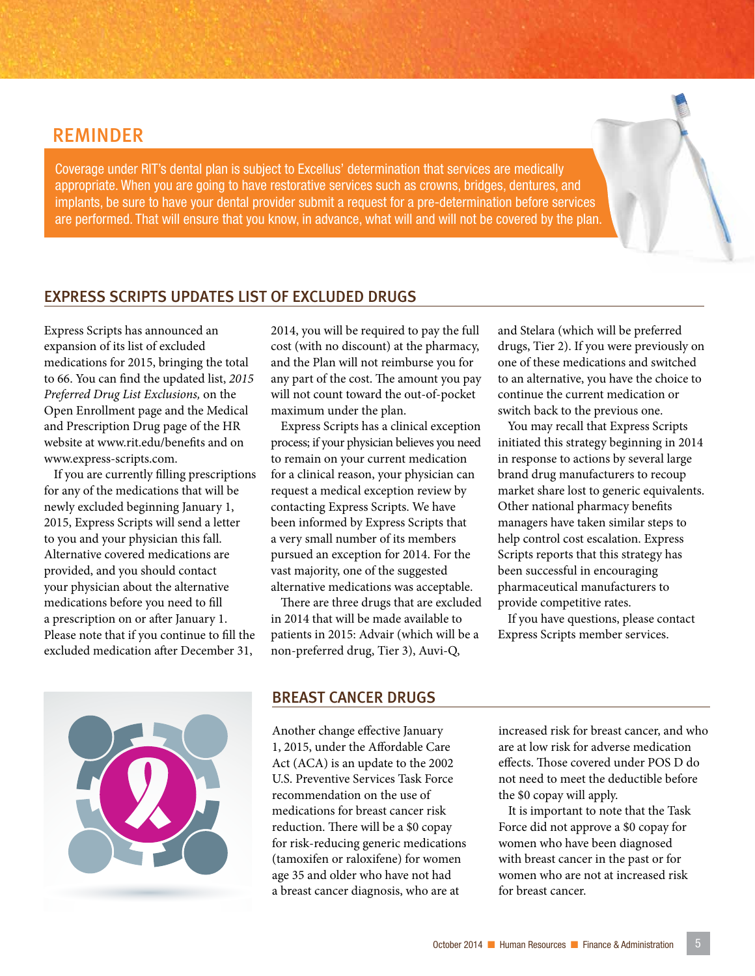### REMINDER

Coverage under RIT's dental plan is subject to Excellus' determination that services are medically appropriate. When you are going to have restorative services such as crowns, bridges, dentures, and implants, be sure to have your dental provider submit a request for a pre-determination before services are performed. That will ensure that you know, in advance, what will and will not be covered by the plan.

#### EXPRESS SCRIPTS UPDATES LIST OF EXCLUDED DRUGS

Express Scripts has announced an expansion of its list of excluded medications for 2015, bringing the total to 66. You can find the updated list, *2015 Preferred Drug List Exclusions,* on the Open Enrollment page and the Medical and Prescription Drug page of the HR website at www.rit.edu/benefits and on www.express-scripts.com.

If you are currently filling prescriptions for any of the medications that will be newly excluded beginning January 1, 2015, Express Scripts will send a letter to you and your physician this fall. Alternative covered medications are provided, and you should contact your physician about the alternative medications before you need to fill a prescription on or after January 1. Please note that if you continue to fill the excluded medication after December 31,

2014, you will be required to pay the full cost (with no discount) at the pharmacy, and the Plan will not reimburse you for any part of the cost. The amount you pay will not count toward the out-of-pocket maximum under the plan.

Express Scripts has a clinical exception process; if your physician believes you need to remain on your current medication for a clinical reason, your physician can request a medical exception review by contacting Express Scripts. We have been informed by Express Scripts that a very small number of its members pursued an exception for 2014. For the vast majority, one of the suggested alternative medications was acceptable.

There are three drugs that are excluded in 2014 that will be made available to patients in 2015: Advair (which will be a non-preferred drug, Tier 3), Auvi-Q,

and Stelara (which will be preferred drugs, Tier 2). If you were previously on one of these medications and switched to an alternative, you have the choice to continue the current medication or switch back to the previous one.

You may recall that Express Scripts initiated this strategy beginning in 2014 in response to actions by several large brand drug manufacturers to recoup market share lost to generic equivalents. Other national pharmacy benefits managers have taken similar steps to help control cost escalation. Express Scripts reports that this strategy has been successful in encouraging pharmaceutical manufacturers to provide competitive rates.

If you have questions, please contact Express Scripts member services.

![](_page_4_Picture_11.jpeg)

#### BREAST CANCER DRUGS

Another change effective January 1, 2015, under the Affordable Care Act (ACA) is an update to the 2002 U.S. Preventive Services Task Force recommendation on the use of medications for breast cancer risk reduction. There will be a \$0 copay for risk-reducing generic medications (tamoxifen or raloxifene) for women age 35 and older who have not had a breast cancer diagnosis, who are at

increased risk for breast cancer, and who are at low risk for adverse medication effects. Those covered under POS D do not need to meet the deductible before the \$0 copay will apply.

It is important to note that the Task Force did not approve a \$0 copay for women who have been diagnosed with breast cancer in the past or for women who are not at increased risk for breast cancer.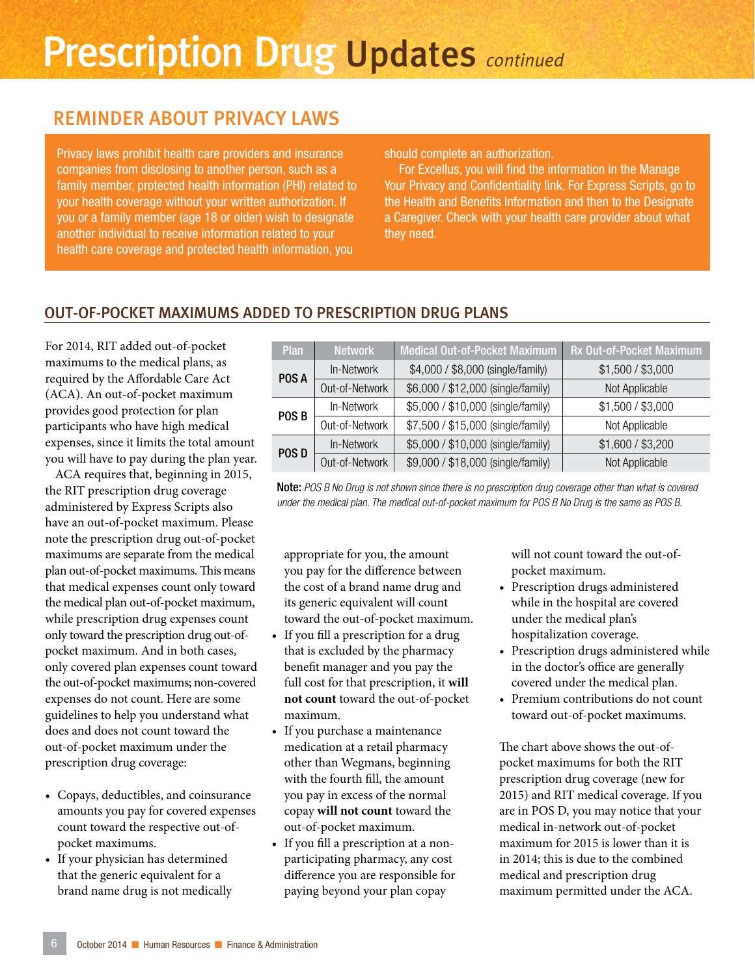# Prescription Drug Updates *continued*

# REMINDER ABOUT PRIVACY LAWS

Privacy laws prohibit health care providers and insurance companies from disclosing to another person, such as a family member, protected health information (PHI) related to your health coverage without your written authorization. If you or a family member (age 18 or older) wish to designate another individual to receive information related to your health care coverage and protected health information, you

#### should complete an authorization.

For Excellus, you will find the information in the Manage Your Privacy and Confidentiality link. For Express Scripts, go to the Health and Benefits Information and then to the Designate a Caregiver. Check with your health care provider about what they need.

### OUT-OF-POCKET MAXIMUMS ADDED TO PRESCRIPTION DRUG PLANS

For 2014, RIT added out-of-pocket maximums to the medical plans, as required by the Affordable Care Act (ACA). An out-of-pocket maximum provides good protection for plan participants who have high medical expenses, since it limits the total amount you will have to pay during the plan year.

ACA requires that, beginning in 2015, the RIT prescription drug coverage administered by Express Scripts also have an out-of-pocket maximum. Please note the prescription drug out-of-pocket maximums are separate from the medical plan out-of-pocket maximums. This means that medical expenses count only toward the medical plan out-of-pocket maximum, while prescription drug expenses count only toward the prescription drug out-ofpocket maximum. And in both cases, only covered plan expenses count toward the out-of-pocket maximums; non-covered expenses do not count. Here are some guidelines to help you understand what does and does not count toward the out-of-pocket maximum under the prescription drug coverage:

- Copays, deductibles, and coinsurance amounts you pay for covered expenses count toward the respective out-ofpocket maximums.
- If your physician has determined that the generic equivalent for a brand name drug is not medically

| <b>Plan</b>      | <b>Network</b> | <b>Medical Out-of-Pocket Maximum</b> | Rx Out-of-Pocket Maximum |
|------------------|----------------|--------------------------------------|--------------------------|
| POS A            | In-Network     | \$4,000 / \$8,000 (single/family)    | \$1,500 / \$3,000        |
|                  | Out-of-Network | \$6,000 / \$12,000 (single/family)   | Not Applicable           |
| POS <sub>B</sub> | In-Network     | \$5,000 / \$10,000 (single/family)   | \$1,500 / \$3,000        |
|                  | Out-of-Network | \$7,500 / \$15,000 (single/family)   | Not Applicable           |
| POS D            | In-Network     | \$5,000 / \$10,000 (single/family)   | \$1,600 / \$3,200        |
|                  | Out-of-Network | \$9,000 / \$18,000 (single/family)   | Not Applicable           |

Note: *POS B No Drug is not shown since there is no prescription drug coverage other than what is covered under the medical plan. The medical out-of-pocket maximum for POS B No Drug is the same as POS B.*

appropriate for you, the amount you pay for the difference between the cost of a brand name drug and its generic equivalent will count toward the out-of-pocket maximum.

- If you fill a prescription for a drug that is excluded by the pharmacy benefit manager and you pay the full cost for that prescription, it **will not count** toward the out-of-pocket maximum.
- If you purchase a maintenance medication at a retail pharmacy other than Wegmans, beginning with the fourth fill, the amount you pay in excess of the normal copay **will not count** toward the out-of-pocket maximum.
- If you fill a prescription at a nonparticipating pharmacy, any cost difference you are responsible for paying beyond your plan copay

will not count toward the out-ofpocket maximum.

- Prescription drugs administered while in the hospital are covered under the medical plan's hospitalization coverage.
- Prescription drugs administered while in the doctor's office are generally covered under the medical plan.
- Premium contributions do not count toward out-of-pocket maximums.

The chart above shows the out-ofpocket maximums for both the RIT prescription drug coverage (new for 2015) and RIT medical coverage. If you are in POS D, you may notice that your medical in-network out-of-pocket maximum for 2015 is lower than it is in 2014; this is due to the combined medical and prescription drug maximum permitted under the ACA.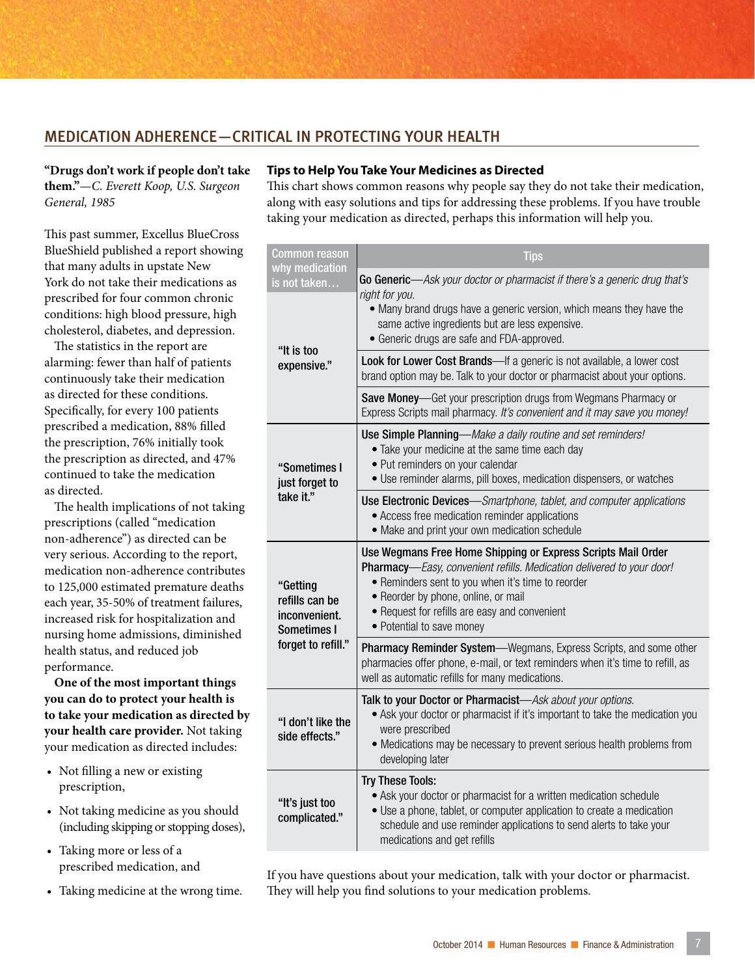### MEDICATION ADHERENCE—CRITICAL IN PROTECTING YOUR HEALTH

**"Drugs don't work if people don't take them."**—*C. Everett Koop, U.S. Surgeon General, 1985*

This past summer, Excellus BlueCross BlueShield published a report showing that many adults in upstate New York do not take their medications as prescribed for four common chronic conditions: high blood pressure, high cholesterol, diabetes, and depression.

The statistics in the report are alarming: fewer than half of patients continuously take their medication as directed for these conditions. Specifically, for every 100 patients prescribed a medication, 88% filled the prescription, 76% initially took the prescription as directed, and 47% continued to take the medication as directed.

The health implications of not taking prescriptions (called "medication non-adherence") as directed can be very serious. According to the report, medication non-adherence contributes to 125,000 estimated premature deaths each year, 35-50% of treatment failures, increased risk for hospitalization and nursing home admissions, diminished health status, and reduced job performance.

**One of the most important things you can do to protect your health is to take your medication as directed by your health care provider.** Not taking your medication as directed includes:

- Not filling a new or existing prescription,
- Not taking medicine as you should (including skipping or stopping doses),
- Taking more or less of a prescribed medication, and
- Taking medicine at the wrong time.

#### **Tips to Help You Take Your Medicines as Directed**

This chart shows common reasons why people say they do not take their medication, along with easy solutions and tips for addressing these problems. If you have trouble taking your medication as directed, perhaps this information will help you.

| <b>Common reason</b>                                       | <b>Tips</b>                                                                                                                                                                                                                                                                                                     |
|------------------------------------------------------------|-----------------------------------------------------------------------------------------------------------------------------------------------------------------------------------------------------------------------------------------------------------------------------------------------------------------|
| why medication<br>is not taken                             | Go Generic—Ask your doctor or pharmacist if there's a generic drug that's                                                                                                                                                                                                                                       |
|                                                            | right for you.<br>• Many brand drugs have a generic version, which means they have the<br>same active ingredients but are less expensive.<br>• Generic drugs are safe and FDA-approved.                                                                                                                         |
| "It is too<br>expensive."                                  | Look for Lower Cost Brands-If a generic is not available, a lower cost<br>brand option may be. Talk to your doctor or pharmacist about your options.                                                                                                                                                            |
|                                                            | Save Money—Get your prescription drugs from Wegmans Pharmacy or<br>Express Scripts mail pharmacy. It's convenient and it may save you money!                                                                                                                                                                    |
| "Sometimes I<br>just forget to                             | Use Simple Planning-Make a daily routine and set reminders!<br>• Take your medicine at the same time each day<br>• Put reminders on your calendar<br>• Use reminder alarms, pill boxes, medication dispensers, or watches                                                                                       |
| take it."                                                  | Use Electronic Devices-Smartphone, tablet, and computer applications<br>• Access free medication reminder applications<br>• Make and print your own medication schedule                                                                                                                                         |
| "Getting<br>refills can be<br>inconvenient.<br>Sometimes I | Use Wegmans Free Home Shipping or Express Scripts Mail Order<br>Pharmacy-Easy, convenient refills. Medication delivered to your door!<br>• Reminders sent to you when it's time to reorder<br>• Reorder by phone, online, or mail<br>• Request for refills are easy and convenient<br>• Potential to save money |
| forget to refill."                                         | Pharmacy Reminder System-Wegmans, Express Scripts, and some other<br>pharmacies offer phone, e-mail, or text reminders when it's time to refill, as<br>well as automatic refills for many medications.                                                                                                          |
| "I don't like the<br>side effects."                        | Talk to your Doctor or Pharmacist-Ask about your options.<br>• Ask your doctor or pharmacist if it's important to take the medication you<br>were prescribed<br>• Medications may be necessary to prevent serious health problems from<br>developing later                                                      |
| "It's just too<br>complicated."                            | <b>Try These Tools:</b><br>• Ask your doctor or pharmacist for a written medication schedule<br>• Use a phone, tablet, or computer application to create a medication<br>schedule and use reminder applications to send alerts to take your<br>medications and get refills                                      |

If you have questions about your medication, talk with your doctor or pharmacist. They will help you find solutions to your medication problems.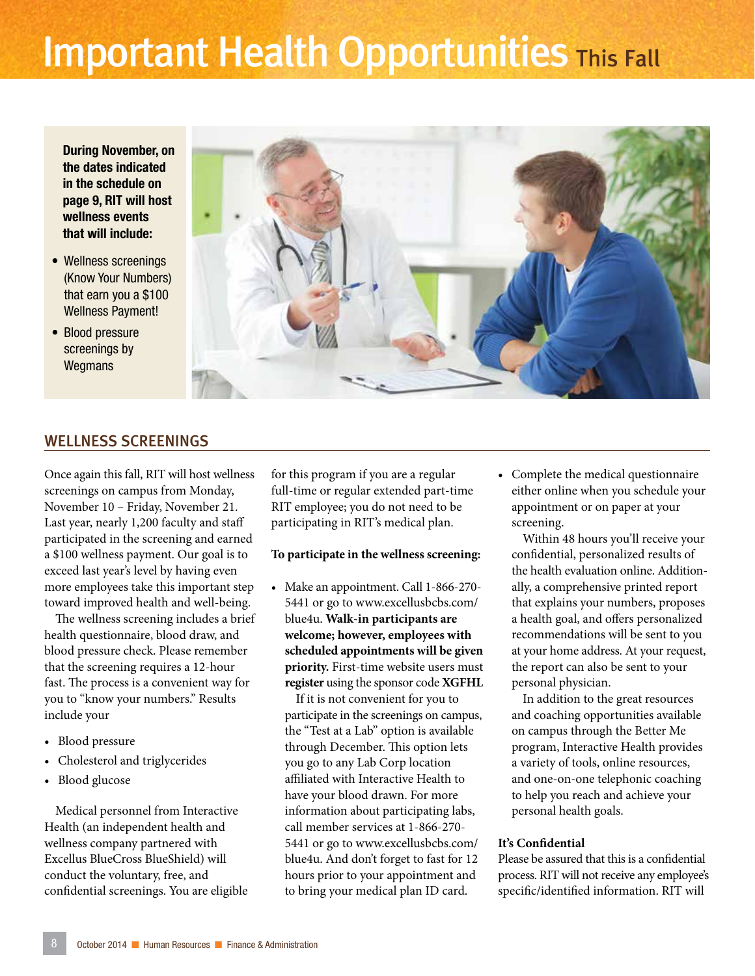# **Important Health Opportunities This Fall**

During November, on the dates indicated in the schedule on page 9, RIT will host wellness events that will include:

- Wellness screenings (Know Your Numbers) that earn you a \$100 Wellness Payment!
- Blood pressure screenings by **Wegmans**

![](_page_7_Picture_4.jpeg)

#### WELLNESS SCREENINGS

Once again this fall, RIT will host wellness screenings on campus from Monday, November 10 – Friday, November 21. Last year, nearly 1,200 faculty and staff participated in the screening and earned a \$100 wellness payment. Our goal is to exceed last year's level by having even more employees take this important step toward improved health and well-being.

The wellness screening includes a brief health questionnaire, blood draw, and blood pressure check. Please remember that the screening requires a 12-hour fast. The process is a convenient way for you to "know your numbers." Results include your

- Blood pressure
- Cholesterol and triglycerides
- Blood glucose

Medical personnel from Interactive Health (an independent health and wellness company partnered with Excellus BlueCross BlueShield) will conduct the voluntary, free, and confidential screenings. You are eligible

for this program if you are a regular full-time or regular extended part-time RIT employee; you do not need to be participating in RIT's medical plan.

#### **To participate in the wellness screening:**

• Make an appointment. Call 1-866-270- 5441 or go to www.excellusbcbs.com/ blue4u. **Walk-in participants are welcome; however, employees with scheduled appointments will be given priority.** First-time website users must **register** using the sponsor code **XGFHL**

If it is not convenient for you to participate in the screenings on campus, the "Test at a Lab" option is available through December. This option lets you go to any Lab Corp location affiliated with Interactive Health to have your blood drawn. For more information about participating labs, call member services at 1-866-270- 5441 or go to www.excellusbcbs.com/ blue4u. And don't forget to fast for 12 hours prior to your appointment and to bring your medical plan ID card.

• Complete the medical questionnaire either online when you schedule your appointment or on paper at your screening.

Within 48 hours you'll receive your confidential, personalized results of the health evaluation online. Additionally, a comprehensive printed report that explains your numbers, proposes a health goal, and offers personalized recommendations will be sent to you at your home address. At your request, the report can also be sent to your personal physician.

In addition to the great resources and coaching opportunities available on campus through the Better Me program, Interactive Health provides a variety of tools, online resources, and one-on-one telephonic coaching to help you reach and achieve your personal health goals.

#### **It's Confidential**

Please be assured that this is a confidential process. RIT will not receive any employee's specific/identified information. RIT will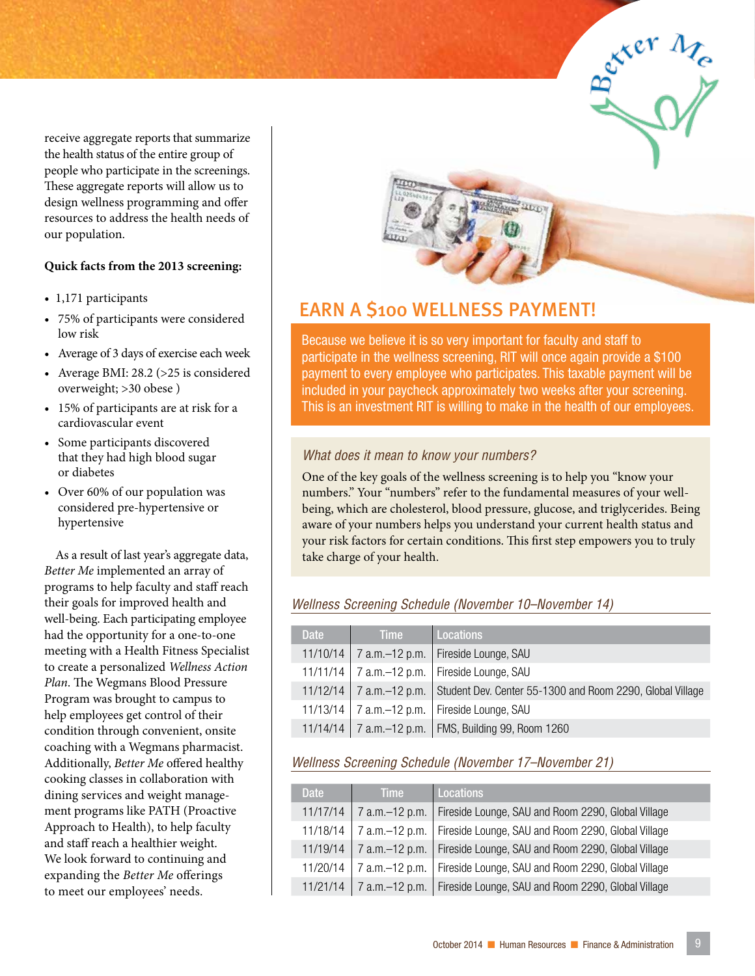receive aggregate reports that summarize the health status of the entire group of people who participate in the screenings. These aggregate reports will allow us to design wellness programming and offer resources to address the health needs of our population.

#### **Quick facts from the 2013 screening:**

- 1,171 participants
- 75% of participants were considered low risk
- Average of 3 days of exercise each week
- Average BMI: 28.2 (>25 is considered overweight; >30 obese )
- 15% of participants are at risk for a cardiovascular event
- Some participants discovered that they had high blood sugar or diabetes
- Over 60% of our population was considered pre-hypertensive or hypertensive

As a result of last year's aggregate data, *Better Me* implemented an array of programs to help faculty and staff reach their goals for improved health and well-being. Each participating employee had the opportunity for a one-to-one meeting with a Health Fitness Specialist to create a personalized *Wellness Action Plan*. The Wegmans Blood Pressure Program was brought to campus to help employees get control of their condition through convenient, onsite coaching with a Wegmans pharmacist. Additionally, *Better Me* offered healthy cooking classes in collaboration with dining services and weight management programs like PATH (Proactive Approach to Health), to help faculty and staff reach a healthier weight. We look forward to continuing and expanding the *Better Me* offerings to meet our employees' needs.

![](_page_8_Picture_10.jpeg)

### EARN A \$100 WELLNESS PAYMENT!

Because we believe it is so very important for faculty and staff to participate in the wellness screening, RIT will once again provide a \$100 payment to every employee who participates. This taxable payment will be included in your paycheck approximately two weeks after your screening. This is an investment RIT is willing to make in the health of our employees.

exter Me

#### *What does it mean to know your numbers?*

One of the key goals of the wellness screening is to help you "know your numbers." Your "numbers" refer to the fundamental measures of your wellbeing, which are cholesterol, blood pressure, glucose, and triglycerides. Being aware of your numbers helps you understand your current health status and your risk factors for certain conditions. This first step empowers you to truly take charge of your health.

#### *Wellness Screening Schedule (November 10–November 14)*

| <b>Date</b> | <b>Time</b> | Locations                                                                             |
|-------------|-------------|---------------------------------------------------------------------------------------|
| 11/10/14    |             | 7 a.m.–12 p.m.   Fireside Lounge, SAU                                                 |
|             |             | 11/11/14   7 a.m. $-12$ p.m.   Fireside Lounge, SAU                                   |
|             |             | 11/12/14   7 a.m.–12 p.m.   Student Dev. Center 55-1300 and Room 2290, Global Village |
|             |             | 11/13/14   7 a.m. $-12$ p.m.   Fireside Lounge, SAU                                   |
|             |             | 11/14/14   7 a.m. - 12 p.m.   FMS, Building 99, Room 1260                             |

#### *Wellness Screening Schedule (November 17–November 21)*

| <b>Date</b> | <b>Time</b>      | <b>Locations</b>                                                    |
|-------------|------------------|---------------------------------------------------------------------|
| 11/17/14    | 7 a.m. - 12 p.m. | Fireside Lounge, SAU and Room 2290, Global Village                  |
| 11/18/14    | 7 a.m.-12 p.m.   | Fireside Lounge, SAU and Room 2290, Global Village                  |
| 11/19/14    |                  | 7 a.m.–12 p.m.   Fireside Lounge, SAU and Room 2290, Global Village |
| 11/20/14    | 7 a.m.-12 p.m.   | Fireside Lounge, SAU and Room 2290, Global Village                  |
| 11/21/14    |                  | 7 a.m.–12 p.m.   Fireside Lounge, SAU and Room 2290, Global Village |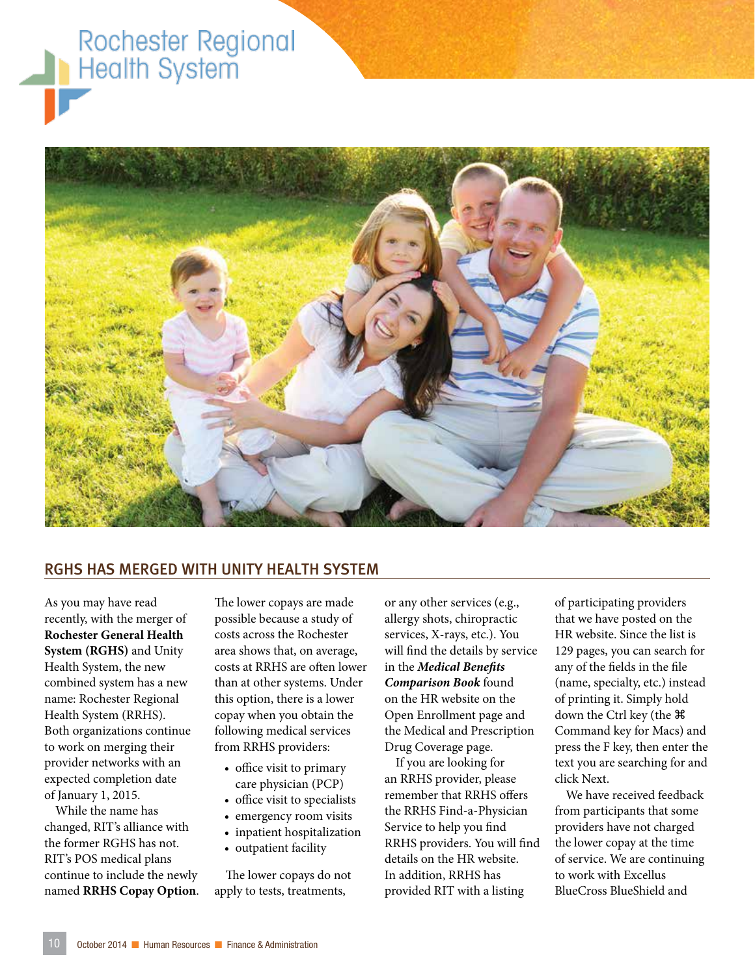# Rochester Regional **Health System**

![](_page_9_Picture_1.jpeg)

#### RGHS HAS MERGED WITH UNITY HEALTH SYSTEM

As you may have read recently, with the merger of **Rochester General Health System (RGHS)** and Unity Health System, the new combined system has a new name: Rochester Regional Health System (RRHS). Both organizations continue to work on merging their provider networks with an expected completion date of January 1, 2015.

While the name has changed, RIT's alliance with the former RGHS has not. RIT's POS medical plans continue to include the newly named **RRHS Copay Option**.

The lower copays are made possible because a study of costs across the Rochester area shows that, on average, costs at RRHS are often lower than at other systems. Under this option, there is a lower copay when you obtain the following medical services from RRHS providers:

- office visit to primary care physician (PCP)
- office visit to specialists
- emergency room visits
- inpatient hospitalization
- outpatient facility

The lower copays do not apply to tests, treatments,

or any other services (e.g., allergy shots, chiropractic services, X-rays, etc.). You will find the details by service in the *Medical Benefits Comparison Book* found on the HR website on the Open Enrollment page and the Medical and Prescription Drug Coverage page.

If you are looking for an RRHS provider, please remember that RRHS offers the RRHS Find-a-Physician Service to help you find RRHS providers. You will find details on the HR website. In addition, RRHS has provided RIT with a listing

of participating providers that we have posted on the HR website. Since the list is 129 pages, you can search for any of the fields in the file (name, specialty, etc.) instead of printing it. Simply hold down the Ctrl key (the Command key for Macs) and press the F key, then enter the text you are searching for and click Next.

We have received feedback from participants that some providers have not charged the lower copay at the time of service. We are continuing to work with Excellus BlueCross BlueShield and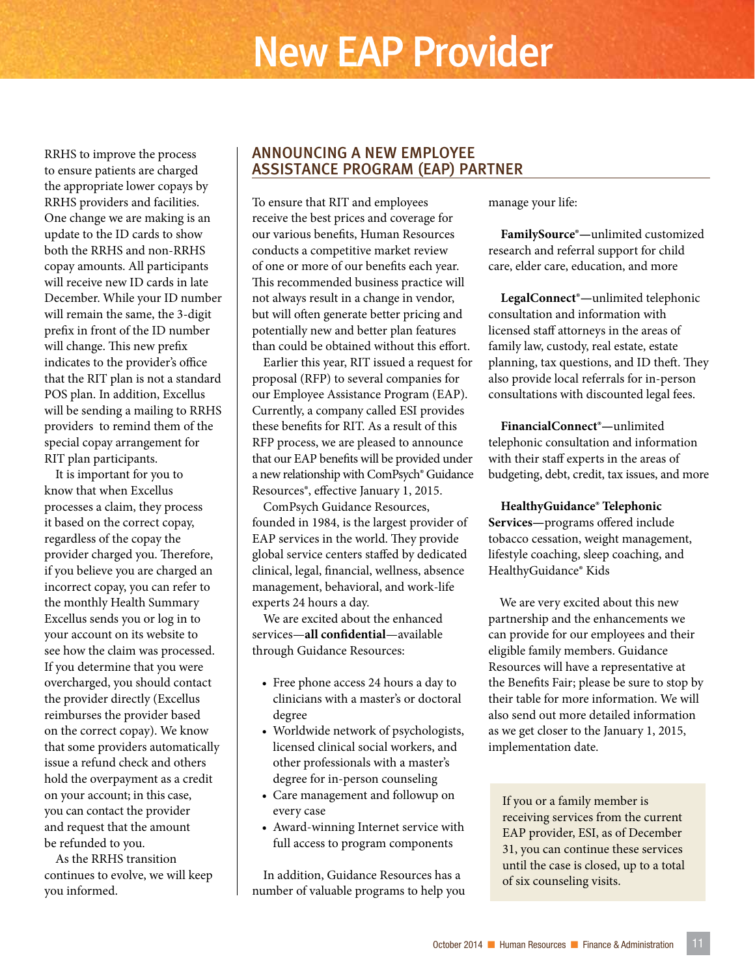# New EAP Provider

RRHS to improve the process to ensure patients are charged the appropriate lower copays by RRHS providers and facilities. One change we are making is an update to the ID cards to show both the RRHS and non-RRHS copay amounts. All participants will receive new ID cards in late December. While your ID number will remain the same, the 3-digit prefix in front of the ID number will change. This new prefix indicates to the provider's office that the RIT plan is not a standard POS plan. In addition, Excellus will be sending a mailing to RRHS providers to remind them of the special copay arrangement for RIT plan participants.

It is important for you to know that when Excellus processes a claim, they process it based on the correct copay, regardless of the copay the provider charged you. Therefore, if you believe you are charged an incorrect copay, you can refer to the monthly Health Summary Excellus sends you or log in to your account on its website to see how the claim was processed. If you determine that you were overcharged, you should contact the provider directly (Excellus reimburses the provider based on the correct copay). We know that some providers automatically issue a refund check and others hold the overpayment as a credit on your account; in this case, you can contact the provider and request that the amount be refunded to you.

As the RRHS transition continues to evolve, we will keep you informed.

#### ANNOUNCING A NEW EMPLOYEE ASSISTANCE PROGRAM (EAP) PARTNER

To ensure that RIT and employees receive the best prices and coverage for our various benefits, Human Resources conducts a competitive market review of one or more of our benefits each year. This recommended business practice will not always result in a change in vendor, but will often generate better pricing and potentially new and better plan features than could be obtained without this effort.

Earlier this year, RIT issued a request for proposal (RFP) to several companies for our Employee Assistance Program (EAP). Currently, a company called ESI provides these benefits for RIT. As a result of this RFP process, we are pleased to announce that our EAP benefits will be provided under a new relationship with ComPsych® Guidance Resources®, effective January 1, 2015.

ComPsych Guidance Resources, founded in 1984, is the largest provider of EAP services in the world. They provide global service centers staffed by dedicated clinical, legal, financial, wellness, absence management, behavioral, and work-life experts 24 hours a day.

We are excited about the enhanced services—**all confidential**—available through Guidance Resources:

- Free phone access 24 hours a day to clinicians with a master's or doctoral degree
- Worldwide network of psychologists, licensed clinical social workers, and other professionals with a master's degree for in-person counseling
- Care management and followup on every case
- Award-winning Internet service with full access to program components

In addition, Guidance Resources has a number of valuable programs to help you manage your life:

**FamilySource®—**unlimited customized research and referral support for child care, elder care, education, and more

**LegalConnect®—**unlimited telephonic consultation and information with licensed staff attorneys in the areas of family law, custody, real estate, estate planning, tax questions, and ID theft. They also provide local referrals for in-person consultations with discounted legal fees.

**FinancialConnect®—**unlimited telephonic consultation and information with their staff experts in the areas of budgeting, debt, credit, tax issues, and more

**HealthyGuidance® Telephonic Services—**programs offered include tobacco cessation, weight management, lifestyle coaching, sleep coaching, and HealthyGuidance® Kids

We are very excited about this new partnership and the enhancements we can provide for our employees and their eligible family members. Guidance Resources will have a representative at the Benefits Fair; please be sure to stop by their table for more information. We will also send out more detailed information as we get closer to the January 1, 2015, implementation date.

If you or a family member is receiving services from the current EAP provider, ESI, as of December 31, you can continue these services until the case is closed, up to a total of six counseling visits.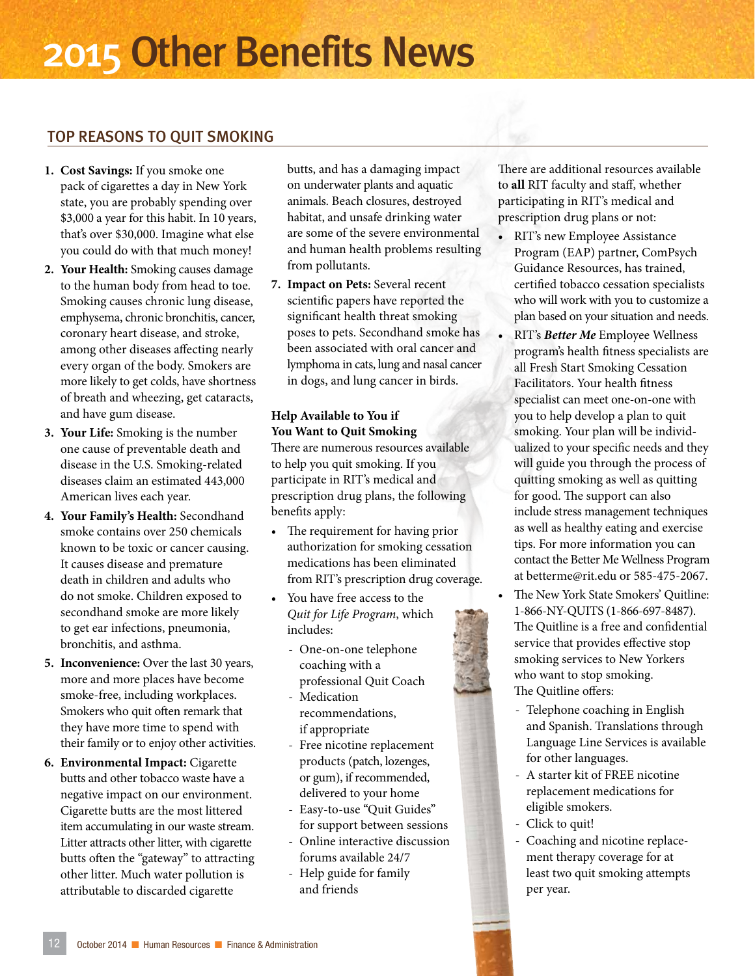# 2015 Other Benefits News

### TOP REASONS TO QUIT SMOKING

- **1. Cost Savings:** If you smoke one pack of cigarettes a day in New York state, you are probably spending over \$3,000 a year for this habit. In 10 years, that's over \$30,000. Imagine what else you could do with that much money!
- **2. Your Health:** Smoking causes damage to the human body from head to toe. Smoking causes chronic lung disease, emphysema, chronic bronchitis, cancer, coronary heart disease, and stroke, among other diseases affecting nearly every organ of the body. Smokers are more likely to get colds, have shortness of breath and wheezing, get cataracts, and have gum disease.
- **3. Your Life:** Smoking is the number one cause of preventable death and disease in the U.S. Smoking-related diseases claim an estimated 443,000 American lives each year.
- **4. Your Family's Health:** Secondhand smoke contains over 250 chemicals known to be toxic or cancer causing. It causes disease and premature death in children and adults who do not smoke. Children exposed to secondhand smoke are more likely to get ear infections, pneumonia, bronchitis, and asthma.
- **5. Inconvenience:** Over the last 30 years, more and more places have become smoke-free, including workplaces. Smokers who quit often remark that they have more time to spend with their family or to enjoy other activities.
- **6. Environmental Impact:** Cigarette butts and other tobacco waste have a negative impact on our environment. Cigarette butts are the most littered item accumulating in our waste stream. Litter attracts other litter, with cigarette butts often the "gateway" to attracting other litter. Much water pollution is attributable to discarded cigarette

butts, and has a damaging impact on underwater plants and aquatic animals. Beach closures, destroyed habitat, and unsafe drinking water are some of the severe environmental and human health problems resulting from pollutants.

**7. Impact on Pets:** Several recent scientific papers have reported the significant health threat smoking poses to pets. Secondhand smoke has been associated with oral cancer and lymphoma in cats, lung and nasal cancer in dogs, and lung cancer in birds.

#### **Help Available to You if You Want to Quit Smoking**

There are numerous resources available to help you quit smoking. If you participate in RIT's medical and prescription drug plans, the following benefits apply:

- The requirement for having prior authorization for smoking cessation medications has been eliminated from RIT's prescription drug coverage.
- You have free access to the *Quit for Life Program*, which includes:
	- One-on-one telephone coaching with a professional Quit Coach
	- Medication recommendations, if appropriate
	- Free nicotine replacement products (patch, lozenges, or gum), if recommended, delivered to your home
	- Easy-to-use "Quit Guides" for support between sessions
	- Online interactive discussion forums available 24/7
	- Help guide for family and friends

There are additional resources available to **all** RIT faculty and staff, whether participating in RIT's medical and prescription drug plans or not:

- RIT's new Employee Assistance Program (EAP) partner, ComPsych Guidance Resources, has trained, certified tobacco cessation specialists who will work with you to customize a plan based on your situation and needs.
- RIT's *Better Me* Employee Wellness program's health fitness specialists are all Fresh Start Smoking Cessation Facilitators. Your health fitness specialist can meet one-on-one with you to help develop a plan to quit smoking. Your plan will be individualized to your specific needs and they will guide you through the process of quitting smoking as well as quitting for good. The support can also include stress management techniques as well as healthy eating and exercise tips. For more information you can contact the Better Me Wellness Program at betterme@rit.edu or 585-475-2067.
- The New York State Smokers' Quitline: 1-866-NY-QUITS (1-866-697-8487). The Quitline is a free and confidential service that provides effective stop smoking services to New Yorkers who want to stop smoking. The Quitline offers:
	- Telephone coaching in English and Spanish. Translations through Language Line Services is available for other languages.
	- A starter kit of FREE nicotine replacement medications for eligible smokers.
	- Click to quit!
	- Coaching and nicotine replacement therapy coverage for at least two quit smoking attempts per year.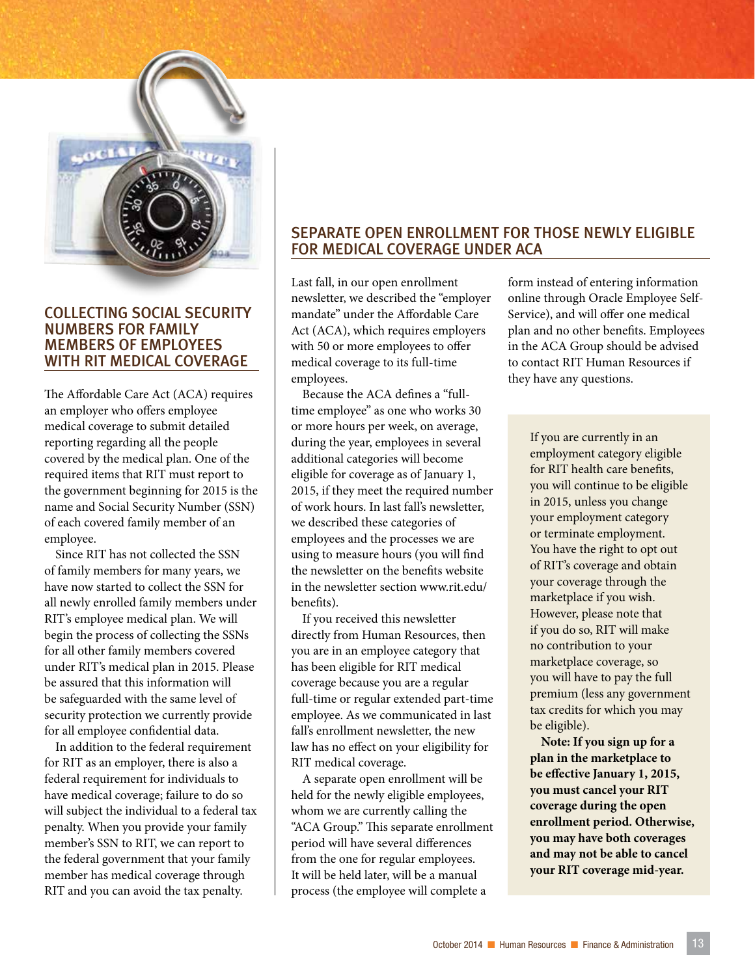![](_page_12_Picture_0.jpeg)

#### COLLECTING SOCIAL SECURITY NUMBERS FOR FAMILY MEMBERS OF EMPLOYEES WITH RIT MEDICAL COVERAGE

The Affordable Care Act (ACA) requires an employer who offers employee medical coverage to submit detailed reporting regarding all the people covered by the medical plan. One of the required items that RIT must report to the government beginning for 2015 is the name and Social Security Number (SSN) of each covered family member of an employee.

Since RIT has not collected the SSN of family members for many years, we have now started to collect the SSN for all newly enrolled family members under RIT's employee medical plan. We will begin the process of collecting the SSNs for all other family members covered under RIT's medical plan in 2015. Please be assured that this information will be safeguarded with the same level of security protection we currently provide for all employee confidential data.

In addition to the federal requirement for RIT as an employer, there is also a federal requirement for individuals to have medical coverage; failure to do so will subject the individual to a federal tax penalty. When you provide your family member's SSN to RIT, we can report to the federal government that your family member has medical coverage through RIT and you can avoid the tax penalty.

#### SEPARATE OPEN ENROLLMENT FOR THOSE NEWLY ELIGIBLE FOR MEDICAL COVERAGE UNDER ACA

Last fall, in our open enrollment newsletter, we described the "employer mandate" under the Affordable Care Act (ACA), which requires employers with 50 or more employees to offer medical coverage to its full-time employees.

Because the ACA defines a "fulltime employee" as one who works 30 or more hours per week, on average, during the year, employees in several additional categories will become eligible for coverage as of January 1, 2015, if they meet the required number of work hours. In last fall's newsletter, we described these categories of employees and the processes we are using to measure hours (you will find the newsletter on the benefits website in the newsletter section www.rit.edu/ benefits).

If you received this newsletter directly from Human Resources, then you are in an employee category that has been eligible for RIT medical coverage because you are a regular full-time or regular extended part-time employee. As we communicated in last fall's enrollment newsletter, the new law has no effect on your eligibility for RIT medical coverage.

A separate open enrollment will be held for the newly eligible employees, whom we are currently calling the "ACA Group." This separate enrollment period will have several differences from the one for regular employees. It will be held later, will be a manual process (the employee will complete a

form instead of entering information online through Oracle Employee Self-Service), and will offer one medical plan and no other benefits. Employees in the ACA Group should be advised to contact RIT Human Resources if they have any questions.

> If you are currently in an employment category eligible for RIT health care benefits, you will continue to be eligible in 2015, unless you change your employment category or terminate employment. You have the right to opt out of RIT's coverage and obtain your coverage through the marketplace if you wish. However, please note that if you do so, RIT will make no contribution to your marketplace coverage, so you will have to pay the full premium (less any government tax credits for which you may be eligible).

**Note: If you sign up for a plan in the marketplace to be effective January 1, 2015, you must cancel your RIT coverage during the open enrollment period. Otherwise, you may have both coverages and may not be able to cancel your RIT coverage mid-year.**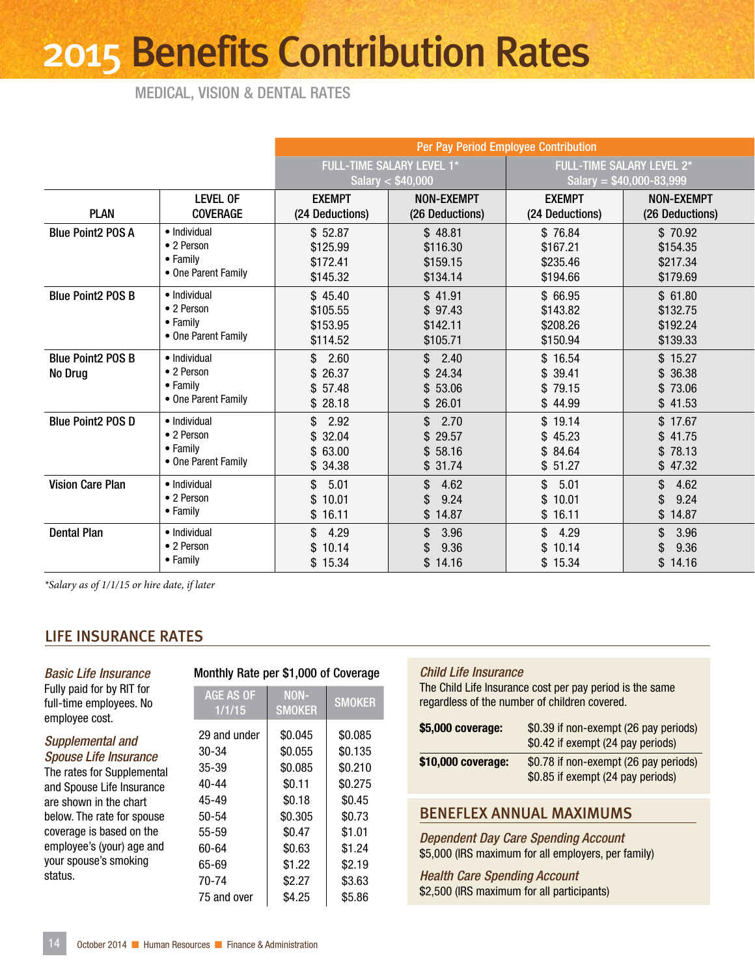# 2015 Benefits Contribution Rates

MEDICAL, VISION & DENTAL RATES

|                                     |                                                                       |                                             | Per Pay Period Employee Contribution          |                                              |                                             |  |  |
|-------------------------------------|-----------------------------------------------------------------------|---------------------------------------------|-----------------------------------------------|----------------------------------------------|---------------------------------------------|--|--|
|                                     |                                                                       | FULL-TIME SALARY LEVEL 1*                   |                                               |                                              | <b>FULL-TIME SALARY LEVEL 2*</b>            |  |  |
|                                     |                                                                       |                                             | Salary $<$ \$40,000                           |                                              | Salary = $$40,000-83,999$                   |  |  |
| <b>PLAN</b>                         | <b>LEVEL OF</b><br><b>COVERAGE</b>                                    | <b>EXEMPT</b><br>(24 Deductions)            | NON-EXEMPT<br>(26 Deductions)                 | <b>EXEMPT</b><br>(24 Deductions)             | <b>NON-EXEMPT</b><br>(26 Deductions)        |  |  |
| <b>Blue Point2 POS A</b>            | • Individual<br>• 2 Person<br>• Family<br>• One Parent Family         | \$52.87<br>\$125.99<br>\$172.41<br>\$145.32 | \$48.81<br>\$116.30<br>\$159.15<br>\$134.14   | \$76.84<br>\$167.21<br>\$235.46<br>\$194.66  | \$70.92<br>\$154.35<br>\$217.34<br>\$179.69 |  |  |
| <b>Blue Point2 POS B</b>            | · Individual<br>• 2 Person<br>• Family<br>• One Parent Family         | \$45.40<br>\$105.55<br>\$153.95<br>\$114.52 | \$41.91<br>\$97.43<br>\$142.11<br>\$105.71    | \$ 66.95<br>\$143.82<br>\$208.26<br>\$150.94 | \$61.80<br>\$132.75<br>\$192.24<br>\$139.33 |  |  |
| <b>Blue Point2 POS B</b><br>No Drug | • Individual<br>• 2 Person<br>• Family<br>• One Parent Family         | \$2.60<br>\$26.37<br>\$57.48<br>\$28.18     | \$2.40<br>\$24.34<br>\$53.06<br>\$26.01       | \$16.54<br>\$39.41<br>\$79.15<br>\$44.99     | \$15.27<br>\$36.38<br>\$73.06<br>\$41.53    |  |  |
| <b>Blue Point2 POS D</b>            | · Individual<br>• 2 Person<br>$\bullet$ Family<br>• One Parent Family | \$2.92<br>\$32.04<br>\$63.00<br>\$34.38     | \$2.70<br>\$29.57<br>\$58.16<br>\$31.74       | \$19.14<br>\$45.23<br>\$84.64<br>\$51.27     | \$17.67<br>\$41.75<br>\$78.13<br>\$47.32    |  |  |
| <b>Vision Care Plan</b>             | · Individual<br>• 2 Person<br>• Family                                | \$5.01<br>\$10.01<br>\$16.11                | \$4.62<br>9.24<br>\$<br>\$14.87               | \$5.01<br>\$10.01<br>\$16.11                 | \$4.62<br>9.24<br>\$<br>\$14.87             |  |  |
| <b>Dental Plan</b>                  | · Individual<br>• 2 Person<br>• Family                                | \$4.29<br>\$10.14<br>\$15.34                | 3.96<br>$\mathbb{S}$<br>9.36<br>\$<br>\$14.16 | \$4.29<br>\$10.14<br>\$15.34                 | 3.96<br>\$<br>9.36<br>\$<br>\$14.16         |  |  |

*\*Salary as of 1/1/15 or hire date, if later*

#### LIFE INSURANCE RATES

| <b>Basic Life Insurance</b>                                            |                            | Monthly Rate per \$1,        |  |  |  |
|------------------------------------------------------------------------|----------------------------|------------------------------|--|--|--|
| Fully paid for by RIT for<br>full-time employees. No<br>employee cost. | <b>AGE AS OF</b><br>1/1/15 | N <sub>0</sub><br><b>SMO</b> |  |  |  |
|                                                                        | 29 and under               | \$0.0                        |  |  |  |
| <b>Supplemental and</b>                                                | 30-34                      | \$0.0                        |  |  |  |
| <b>Spouse Life Insurance</b>                                           | $35 - 39$                  | \$0.0                        |  |  |  |
| The rates for Supplemental<br>and Spouse Life Insurance                | 40-44                      | \$0.                         |  |  |  |
| are shown in the chart                                                 | 45-49                      | \$0.                         |  |  |  |
| below. The rate for spouse                                             | 50-54                      | \$0.3                        |  |  |  |
| coverage is based on the                                               | 55-59                      | \$0.                         |  |  |  |
| employee's (your) age and                                              | 60-64                      | \$0.                         |  |  |  |
| your spouse's smoking                                                  | 65-69                      | \$1.                         |  |  |  |
| status.                                                                | 70-74                      | \$2.                         |  |  |  |

#### ,000 of Coverage

| AGE AS OF<br>1/1/15 | <b>NON-</b><br><b>SMOKER</b> | <b>SMOKER</b> |
|---------------------|------------------------------|---------------|
| 29 and under        | \$0.045                      | \$0.085       |
| 30-34               | \$0.055                      | \$0.135       |
| $35-39$             | \$0.085                      | \$0.210       |
| $40 - 44$           | \$0.11                       | \$0.275       |
| 45-49               | \$0.18                       | \$0.45        |
| $50 - 54$           | \$0.305                      | \$0.73        |
| 55-59               | \$0.47                       | \$1.01        |
| 60-64               | \$0.63                       | \$1.24        |
| 65-69               | \$1.22                       | \$2.19        |
| 70-74               | \$2.27                       | \$3.63        |
| 75 and over         | \$4.25                       | \$5.86        |

#### *Child Life Insurance*

The Child Life Insurance cost per pay period is the same regardless of the number of children covered.

| \$5,000 coverage:  | \$0.39 if non-exempt (26 pay periods)<br>\$0.42 if exempt (24 pay periods) |
|--------------------|----------------------------------------------------------------------------|
| \$10,000 coverage: | \$0.78 if non-exempt (26 pay periods)<br>\$0.85 if exempt (24 pay periods) |

#### BENEFLEX ANNUAL MAXIMUMS

*Dependent Day Care Spending Account* \$5,000 (IRS maximum for all employers, per family)

*Health Care Spending Account*  \$2,500 (IRS maximum for all participants)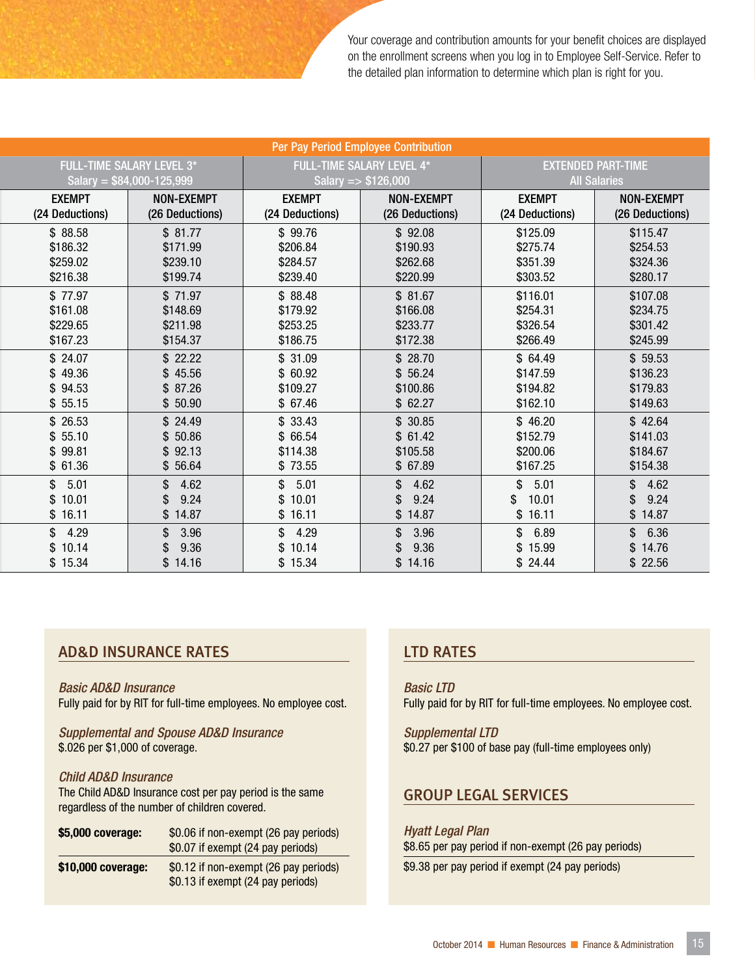Your coverage and contribution amounts for your benefit choices are displayed on the enrollment screens when you log in to Employee Self-Service. Refer to the detailed plan information to determine which plan is right for you.

|                                  |                   | Per Pay Period Employee Contribution |                   |                     |                           |
|----------------------------------|-------------------|--------------------------------------|-------------------|---------------------|---------------------------|
| <b>FULL-TIME SALARY LEVEL 3*</b> |                   | <b>FULL-TIME SALARY LEVEL 4*</b>     |                   |                     | <b>EXTENDED PART-TIME</b> |
| Salary = $$84,000-125,999$       |                   | Salary = $$126,000$                  |                   | <b>All Salaries</b> |                           |
| <b>EXEMPT</b>                    | <b>NON-EXEMPT</b> | <b>EXEMPT</b>                        | <b>NON-EXEMPT</b> | <b>EXEMPT</b>       | <b>NON-EXEMPT</b>         |
| (24 Deductions)                  | (26 Deductions)   | (24 Deductions)                      | (26 Deductions)   | (24 Deductions)     | (26 Deductions)           |
| \$88.58                          | \$81.77           | \$99.76                              | \$92.08           | \$125.09            | \$115.47                  |
| \$186.32                         | \$171.99          | \$206.84                             | \$190.93          | \$275.74            | \$254.53                  |
| \$259.02                         | \$239.10          | \$284.57                             | \$262.68          | \$351.39            | \$324.36                  |
| \$216.38                         | \$199.74          | \$239.40                             | \$220.99          | \$303.52            | \$280.17                  |
| \$77.97                          | \$71.97           | \$88.48                              | \$81.67           | \$116.01            | \$107.08                  |
| \$161.08                         | \$148.69          | \$179.92                             | \$166.08          | \$254.31            | \$234.75                  |
| \$229.65                         | \$211.98          | \$253.25                             | \$233.77          | \$326.54            | \$301.42                  |
| \$167.23                         | \$154.37          | \$186.75                             | \$172.38          | \$266.49            | \$245.99                  |
| \$24.07                          | \$22.22           | \$31.09                              | \$28.70           | \$64.49             | \$59.53                   |
| \$49.36                          | \$45.56           | \$60.92                              | \$56.24           | \$147.59            | \$136.23                  |
| \$94.53                          | \$87.26           | \$109.27                             | \$100.86          | \$194.82            | \$179.83                  |
| \$55.15                          | \$50.90           | \$67.46                              | \$62.27           | \$162.10            | \$149.63                  |
| \$26.53                          | \$24.49           | \$33.43                              | \$30.85           | \$46.20             | \$42.64                   |
| \$55.10                          | \$50.86           | \$ 66.54                             | \$61.42           | \$152.79            | \$141.03                  |
| \$99.81                          | \$92.13           | \$114.38                             | \$105.58          | \$200.06            | \$184.67                  |
| \$61.36                          | \$ 56.64          | \$73.55                              | \$67.89           | \$167.25            | \$154.38                  |
| \$<br>5.01                       | 4.62<br>\$        | \$5.01                               | 4.62<br>\$        | 5.01<br>\$          | \$4.62                    |
| \$10.01                          | 9.24              | \$10.01                              | 9.24              | 10.01<br>\$         | 9.24<br>\$                |
| \$16.11                          | \$14.87           | \$16.11                              | \$14.87           | \$16.11             | \$14.87                   |
| \$<br>4.29                       | 3.96<br>\$        | \$4.29                               | 3.96<br>\$        | \$6.89              | \$6.36                    |
| 10.14<br>\$                      | 9.36              | \$10.14                              | 9.36              | \$15.99             | \$14.76                   |
| \$15.34                          | \$14.16           | \$15.34                              | \$14.16           | \$24.44             | \$22.56                   |

#### AD&D INSURANCE RATES

*Basic AD&D Insurance* Fully paid for by RIT for full-time employees. No employee cost.

*Supplemental and Spouse AD&D Insurance* \$.026 per \$1,000 of coverage.

#### *Child AD&D Insurance*

The Child AD&D Insurance cost per pay period is the same regardless of the number of children covered.

| \$5,000 coverage:  | \$0.06 if non-exempt (26 pay periods)<br>\$0.07 if exempt (24 pay periods) |
|--------------------|----------------------------------------------------------------------------|
| \$10,000 coverage: | \$0.12 if non-exempt (26 pay periods)<br>\$0.13 if exempt (24 pay periods) |

#### LTD RATES

*Basic LTD* Fully paid for by RIT for full-time employees. No employee cost.

*Supplemental LTD* \$0.27 per \$100 of base pay (full-time employees only)

#### GROUP LEGAL SERVICES

*Hyatt Legal Plan* \$8.65 per pay period if non-exempt (26 pay periods)

\$9.38 per pay period if exempt (24 pay periods)